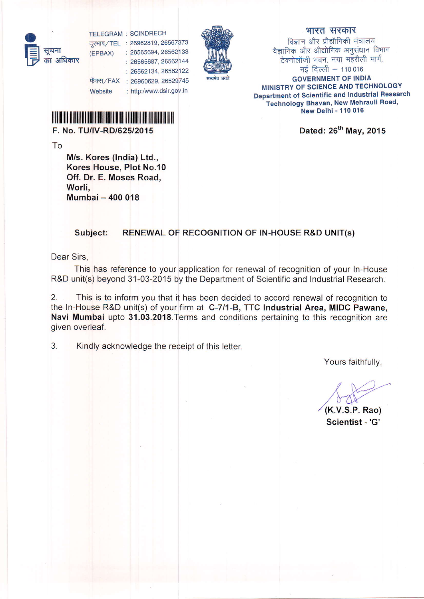o H सूचना  $(FPBAX)$ का अधिकार

TELEGRAM : SCINDRECH दूरभाष/TEL : 26962819, 26567373 : 26565694, 26562133

| 26565687, 26562144 : 26562134,26562122 फैक्स/FAX : 26960629, 26529745 <mark>सत्यमेव</mark> जयते

## भारत सरकार

विज्ञान और प्रौद्यौगिकी मंत्रालय वैज्ञानिक और औद्योगिक अनुसंधान विभाग .<br>टेक्नोलॉजी भवन, नया महरौली मार्ग, नई दिल्ली  $- 110016$ GOVERNMENT OF INDIA MINISTRY OF SCIENCE AND TECHNOLOGY Department of Scientific and Industrial Research **Technology Bhavan, New Mehrauli Road,** New Delhi - 110 016

Dated: 26<sup>th</sup> May, 2015

lffllllllilllilllllilllllllillllllllrlllllrllllllllllllllllllllllllllllllllll

: http:/www.dsir.gov.in

F. No. TU/IV-RD/625/2015

**Website** 

To

M/s. Kores (lndia) Ltd., Kores House, Plot No.10 Off. Dr. E. Moses Road. Worli. Mumbai - 400 018

## Subject: RENEWAL OF RECOGNITION OF lN-HOUSE R&D UNIT(s)

Dear Sirs,

This has reference to your application for renewal of recognition of your In-House R&D unit(s) beyond 31-03-2015 by the Department of Scientific and Industrial Research.

2. This is to inform you that it has been decided to accord renewal of recognition to the In-House R&D unit(s) of your firm at C-7l1-8, TTC Industrial Area, MIDC Pawane, Navi Mumbai upto 31.03.2018. Terms and conditions pertaining to this recognition are given overleaf.

3. Kindly acknowledge the receipt of this letter.

Yours faithfully,

(K.V.S.P. Rao)

Scientist -'G'